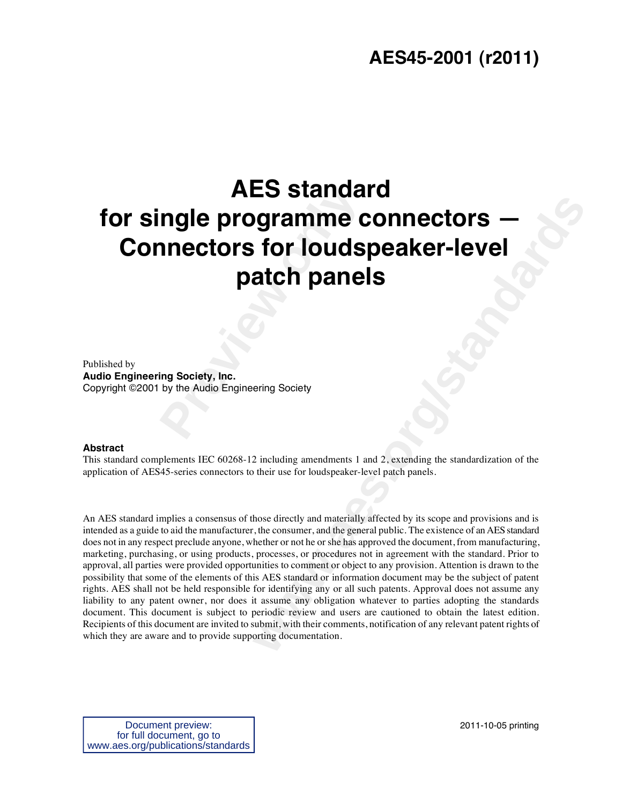### **AES45-2001 (r2011)**

# **Programme connectors for louds<br>
patch pane<br>
straing Society, Inc.<br>
Day the Audio Engineering Society AES standard for single programme connectors — Connectors for loudspeaker-level patch panels**

Published by **Audio Engineering Society, Inc.**  Copyright ©2001 by the Audio Engineering Society

#### **Abstract**

This standard complements IEC 60268-12 including amendments 1 and 2, extending the standardization of the application of AES45-series connectors to their use for loudspeaker-level patch panels.

**solution Connections Constant Constant Constant Constant Constant Constant Constant Constant Constant Constant Constant Constant Constant Constant Constant Constant Constant Constant Constant Constant Constant Constant Co** An AES standard implies a consensus of those directly and materially affected by its scope and provisions and is intended as a guide to aid the manufacturer, the consumer, and the general public. The existence of an AES standard does not in any respect preclude anyone, whether or not he or she has approved the document, from manufacturing, marketing, purchasing, or using products, processes, or procedures not in agreement with the standard. Prior to approval, all parties were provided opportunities to comment or object to any provision. Attention is drawn to the possibility that some of the elements of this AES standard or information document may be the subject of patent rights. AES shall not be held responsible for identifying any or all such patents. Approval does not assume any liability to any patent owner, nor does it assume any obligation whatever to parties adopting the standards document. This document is subject to periodic review and users are cautioned to obtain the latest edition. Recipients of this document are invited to submit, with their comments, notification of any relevant patent rights of which they are aware and to provide supporting documentation.

Document preview: for full document, go to www.aes.org/publications/standards 2011-10-05 printing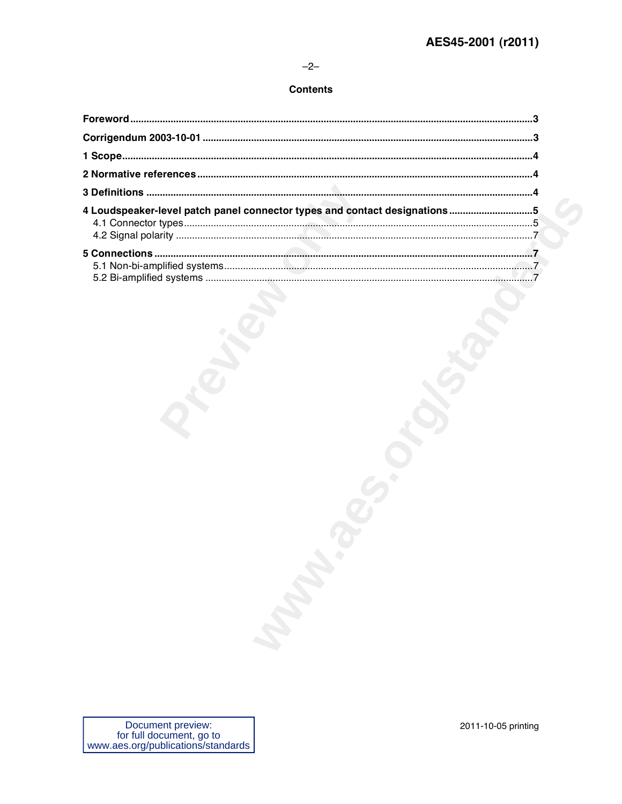#### $-2-$

#### **Contents**

| 4 Loudspeaker-level patch panel connector types and contact designations5 |  |
|---------------------------------------------------------------------------|--|
|                                                                           |  |
|                                                                           |  |
|                                                                           |  |
|                                                                           |  |
|                                                                           |  |
|                                                                           |  |
|                                                                           |  |
|                                                                           |  |
|                                                                           |  |
|                                                                           |  |
|                                                                           |  |
|                                                                           |  |
|                                                                           |  |
|                                                                           |  |
|                                                                           |  |
|                                                                           |  |
|                                                                           |  |
|                                                                           |  |
|                                                                           |  |
|                                                                           |  |
|                                                                           |  |
|                                                                           |  |
|                                                                           |  |
|                                                                           |  |
|                                                                           |  |
|                                                                           |  |
|                                                                           |  |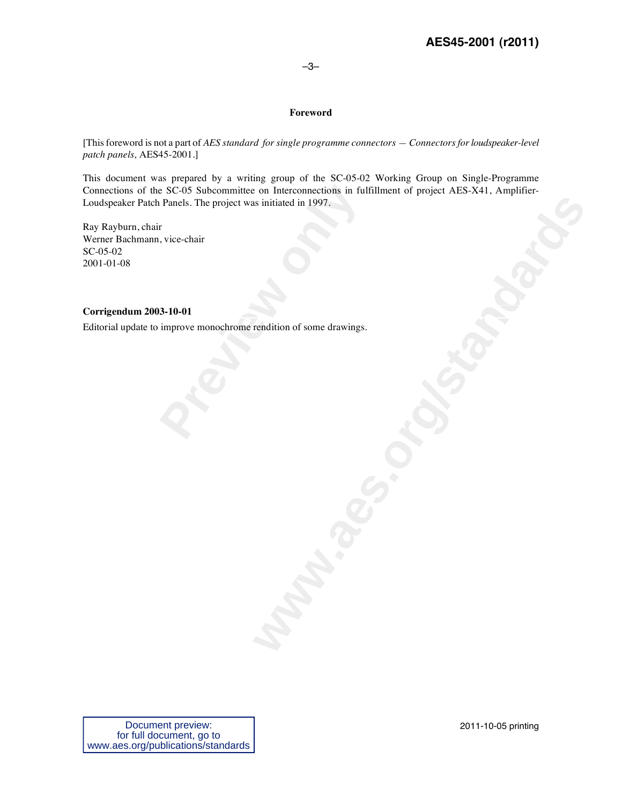#### –3–

#### **Foreword**

[This foreword is not a part of *AES standard for single programme connectors — Connectors for loudspeaker-level patch panels,* AES45-2001.]

Example SC-05 Subcommittee on Interconnections in full<br>Panels. The project was initiated in 1997.<br>
F, vice-chair<br> **3-10-01**<br>
improve monochrome rendition of some drawings. **Warner of some drawings.** This document was prepared by a writing group of the SC-05-02 Working Group on Single-Programme Connections of the SC-05 Subcommittee on Interconnections in fulfillment of project AES-X41, Amplifier-Loudspeaker Patch Panels. The project was initiated in 1997.

Ray Rayburn, chair Werner Bachmann, vice-chair SC-05-02 2001-01-08

#### **Corrigendum 2003-10-01**

Editorial update to improve monochrome rendition of some drawings*.*